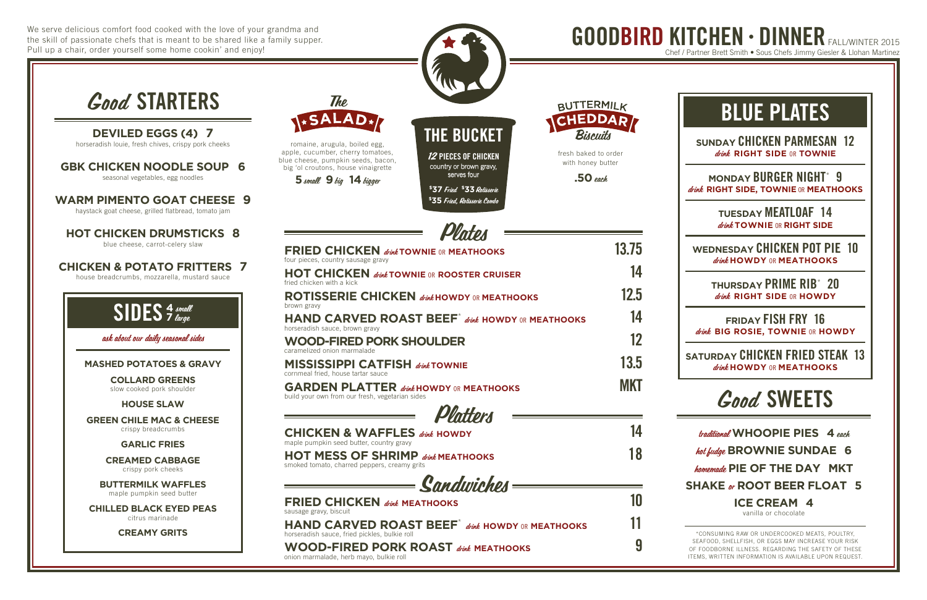We serve delicious comfort food cooked with the love of your grandma and the skill of passionate chefs that is meant to be shared like a family supper. Pull up a chair, order yourself some home cookin' and enjoy!

> traditional **WHOOPIE PIES 4** each hot fudge **BROWNIE SUNDAE 6** homemade **PIE OF THE DAY MKT SHAKE** or **ROOT BEER FLOAT 5 ICE CREAM 4**

> > vanilla or chocolate

# BLUE PLATES

**SUNDAY** CHICKEN PARMESAN 12 drink **RIGHT SIDE** OR **TOWNIE**

**MONDAY** BURGER NIGHT\* 9 drink **RIGHT SIDE, TOWNIE** OR **MEATHOOKS**

> **TUESDAY** MEATLOAF 14 drink **TOWNIE** OR **RIGHT SIDE**

**WEDNESDAY** CHICKEN POT PIE 10 drink **HOWDY** OR **MEATHOOKS**

> **THURSDAY** PRIME RIB\* 20 drink **RIGHT SIDE** OR **HOWDY**

**FRIDAY** FISH FRY 16 drink **BIG ROSIE, TOWNIE** OR **HOWDY**

**SATURDAY** CHICKEN FRIED STEAK 13 drink **HOWDY** OR **MEATHOOKS**

# Good SWEETS



\*CONSUMING RAW OR UNDERCOOKED MEATS, POULTRY, SEAFOOD, SHELLFISH, OR EGGS MAY INCREASE YOUR RISK OF FOODBORNE ILLNESS. REGARDING THE SAFETY OF THESE ITEMS, WRITTEN INFORMATION IS AVAILABLE UPON REQUEST.

GOODBIRD KITCHEN • DINNER FALL/WINTER 2015 Chef / Partner Brett Smith • Sous Chefs Jimmy Giesler & Llohan Martinez